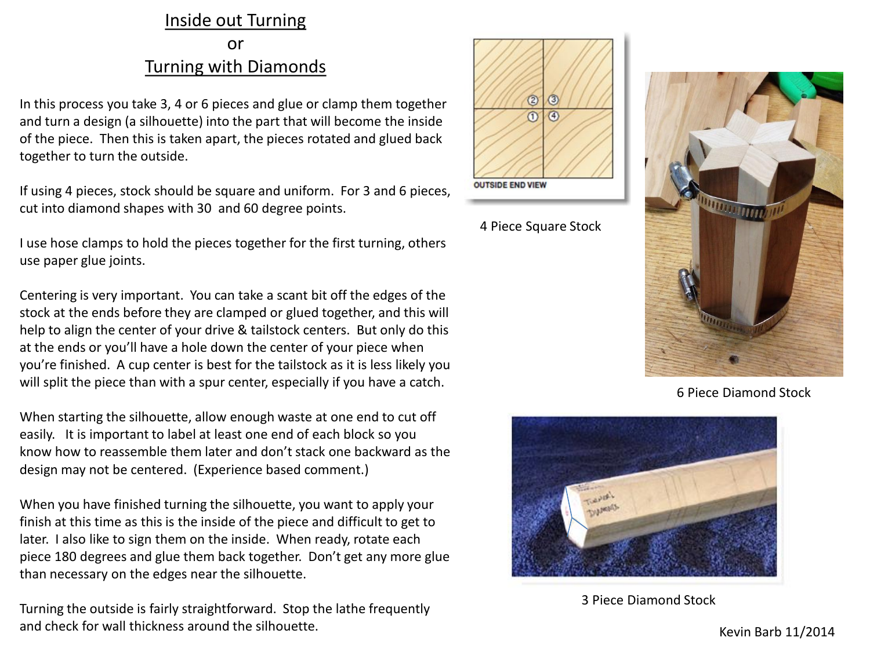## Inside out Turning

## or Turning with Diamonds

In this process you take 3, 4 or 6 pieces and glue or clamp them together and turn a design (a silhouette) into the part that will become the inside of the piece. Then this is taken apart, the pieces rotated and glued back together to turn the outside.

If using 4 pieces, stock should be square and uniform. For 3 and 6 pieces, cut into diamond shapes with 30 and 60 degree points.

I use hose clamps to hold the pieces together for the first turning, others use paper glue joints.

Centering is very important. You can take a scant bit off the edges of the stock at the ends before they are clamped or glued together, and this will help to align the center of your drive & tailstock centers. But only do this at the ends or you'll have a hole down the center of your piece when you're finished. A cup center is best for the tailstock as it is less likely you will split the piece than with a spur center, especially if you have a catch.

When starting the silhouette, allow enough waste at one end to cut off easily. It is important to label at least one end of each block so you know how to reassemble them later and don't stack one backward as the design may not be centered. (Experience based comment.)

When you have finished turning the silhouette, you want to apply your finish at this time as this is the inside of the piece and difficult to get to later. I also like to sign them on the inside. When ready, rotate each piece 180 degrees and glue them back together. Don't get any more glue than necessary on the edges near the silhouette.

Turning the outside is fairly straightforward. Stop the lathe frequently and check for wall thickness around the silhouette.<br>
Kevin Barb 11/2014



4 Piece Square Stock



6 Piece Diamond Stock



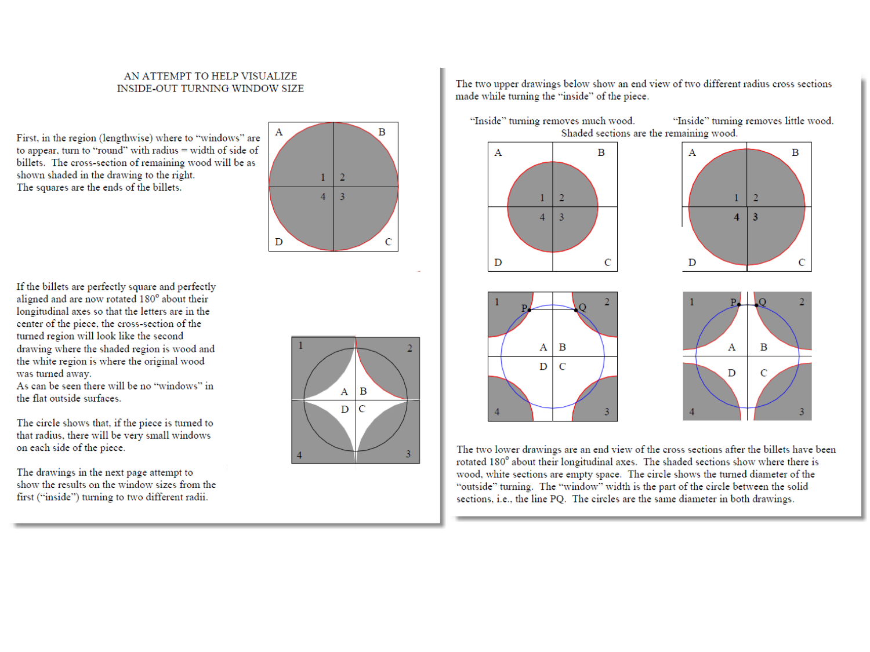## AN ATTEMPT TO HELP VISUALIZE **INSIDE-OUT TURNING WINDOW SIZE**

First, in the region (lengthwise) where to "windows" are to appear, turn to "round" with radius  $=$  width of side of billets. The cross-section of remaining wood will be as shown shaded in the drawing to the right. The squares are the ends of the billets.



If the billets are perfectly square and perfectly aligned and are now rotated 180° about their longitudinal axes so that the letters are in the center of the piece, the cross-section of the turned region will look like the second drawing where the shaded region is wood and the white region is where the original wood was turned away.

As can be seen there will be no "windows" in the flat outside surfaces.

The circle shows that, if the piece is turned to that radius, there will be very small windows on each side of the piece.

The drawings in the next page attempt to show the results on the window sizes from the first ("inside") turning to two different radii.



The two upper drawings below show an end view of two different radius cross sections made while turning the "inside" of the piece.



The two lower drawings are an end view of the cross sections after the billets have been rotated 180° about their longitudinal axes. The shaded sections show where there is wood, white sections are empty space. The circle shows the turned diameter of the "outside" turning. The "window" width is the part of the circle between the solid sections, i.e., the line PQ. The circles are the same diameter in both drawings.